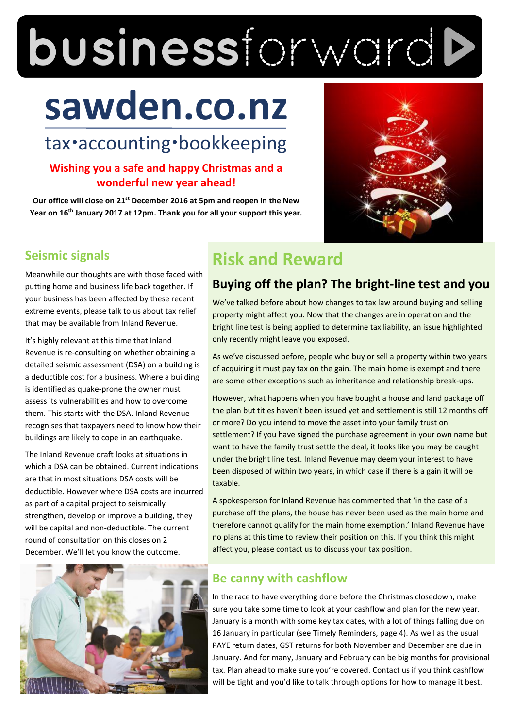# businessforwardb

# **sawden.co.nz**

# tax·accounting·bookkeeping

# **Wishing you a safe and happy Christmas and a wonderful new year ahead!**

**Our office will close on 21st December 2016 at 5pm and reopen in the New Year on 16th January 2017 at 12pm. Thank you for all your support this year.**



# **Seismic signals**

Meanwhile our thoughts are with those faced with putting home and business life back together. If your business has been affected by these recent extreme events, please talk to us about tax relief that may be available from Inland Revenue.

It's highly relevant at this time that Inland Revenue is re-consulting on whether obtaining a detailed seismic assessment (DSA) on a building is a deductible cost for a business. Where a building is identified as quake-prone the owner must assess its vulnerabilities and how to overcome them. This starts with the DSA. Inland Revenue recognises that taxpayers need to know how their buildings are likely to cope in an earthquake.

The Inland Revenue draft looks at situations in which a DSA can be obtained. Current indications are that in most situations DSA costs will be deductible. However where DSA costs are incurred as part of a capital project to seismically strengthen, develop or improve a building, they will be capital and non-deductible. The current round of consultation on this closes on 2 December. We'll let you know the outcome.



# **Risk and Reward**

# **Buying off the plan? The bright-line test and you**

We've talked before about how changes to tax law around buying and selling property might affect you. Now that the changes are in operation and the bright line test is being applied to determine tax liability, an issue highlighted only recently might leave you exposed.

As we've discussed before, people who buy or sell a property within two years of acquiring it must pay tax on the gain. The main home is exempt and there are some other exceptions such as inheritance and relationship break-ups.

However, what happens when you have bought a house and land package off the plan but titles haven't been issued yet and settlement is still 12 months off or more? Do you intend to move the asset into your family trust on settlement? If you have signed the purchase agreement in your own name but want to have the family trust settle the deal, it looks like you may be caught under the bright line test. Inland Revenue may deem your interest to have been disposed of within two years, in which case if there is a gain it will be taxable.

A spokesperson for Inland Revenue has commented that 'in the case of a purchase off the plans, the house has never been used as the main home and therefore cannot qualify for the main home exemption.' Inland Revenue have no plans at this time to review their position on this. If you think this might affect you, please contact us to discuss your tax position.

# **Be canny with cashflow**

In the race to have everything done before the Christmas closedown, make sure you take some time to look at your cashflow and plan for the new year. January is a month with some key tax dates, with a lot of things falling due on 16 January in particular (see Timely Reminders, page 4). As well as the usual PAYE return dates, GST returns for both November and December are due in January. And for many, January and February can be big months for provisional tax. Plan ahead to make sure you're covered. Contact us if you think cashflow will be tight and you'd like to talk through options for how to manage it best.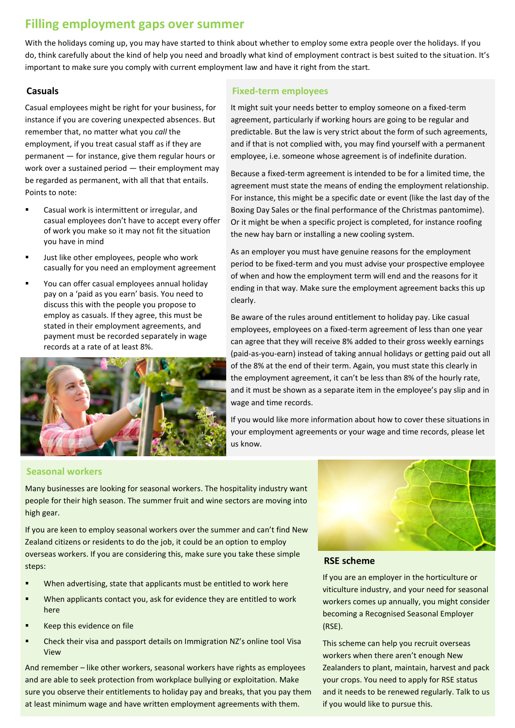# **Filling employment gaps over summer**

With the holidays coming up, you may have started to think about whether to employ some extra people over the holidays. If you do, think carefully about the kind of help you need and broadly what kind of employment contract is best suited to the situation. It's important to make sure you comply with current employment law and have it right from the start.

#### **Casuals**

Casual employees might be right for your business, for instance if you are covering unexpected absences. But remember that, no matter what you *call* the employment, if you treat casual staff as if they are permanent — for instance, give them regular hours or work over a sustained period — their employment may be regarded as permanent, with all that that entails. Points to note:

- Casual work is intermittent or irregular, and casual employees don't have to accept every offer of work you make so it may not fit the situation you have in mind
- Just like other employees, people who work casually for you need an employment agreement
- You can offer casual employees annual holiday pay on a 'paid as you earn' basis. You need to discuss this with the people you propose to employ as casuals. If they agree, this must be stated in their employment agreements, and payment must be recorded separately in wage records at a rate of at least 8%.



#### **Fixed-term employees**

It might suit your needs better to employ someone on a fixed-term agreement, particularly if working hours are going to be regular and predictable. But the law is very strict about the form of such agreements, and if that is not complied with, you may find yourself with a permanent employee, i.e. someone whose agreement is of indefinite duration.

Because a fixed-term agreement is intended to be for a limited time, the agreement must state the means of ending the employment relationship. For instance, this might be a specific date or event (like the last day of the Boxing Day Sales or the final performance of the Christmas pantomime). Or it might be when a specific project is completed, for instance roofing the new hay barn or installing a new cooling system.

As an employer you must have genuine reasons for the employment period to be fixed-term and you must advise your prospective employee of when and how the employment term will end and the reasons for it ending in that way. Make sure the employment agreement backs this up clearly.

Be aware of the rules around entitlement to holiday pay. Like casual employees, employees on a fixed-term agreement of less than one year can agree that they will receive 8% added to their gross weekly earnings (paid-as-you-earn) instead of taking annual holidays or getting paid out all of the 8% at the end of their term. Again, you must state this clearly in the employment agreement, it can't be less than 8% of the hourly rate, and it must be shown as a separate item in the employee's pay slip and in wage and time records.

If you would like more information about how to cover these situations in your employment agreements or your wage and time records, please let us know.

#### **Seasonal workers**

Many businesses are looking for seasonal workers. The hospitality industry want people for their high season. The summer fruit and wine sectors are moving into high gear.

If you are keen to employ seasonal workers over the summer and can't find New Zealand citizens or residents to do the job, it could be an option to employ overseas workers. If you are considering this, make sure you take these simple steps:

- When advertising, state that applicants must be entitled to work here
- When applicants contact you, ask for evidence they are entitled to work here
- Keep this evidence on file
- Check their visa and passport details on Immigration NZ's online tool Visa View

And remember – like other workers, seasonal workers have rights as employees and are able to seek protection from workplace bullying or exploitation. Make sure you observe their entitlements to holiday pay and breaks, that you pay them at least minimum wage and have written employment agreements with them.



#### **RSE scheme**

If you are an employer in the horticulture or viticulture industry, and your need for seasonal workers comes up annually, you might consider becoming a Recognised Seasonal Employer (RSE).

This scheme can help you recruit overseas workers when there aren't enough New Zealanders to plant, maintain, harvest and pack your crops. You need to apply for RSE status and it needs to be renewed regularly. Talk to us if you would like to pursue this.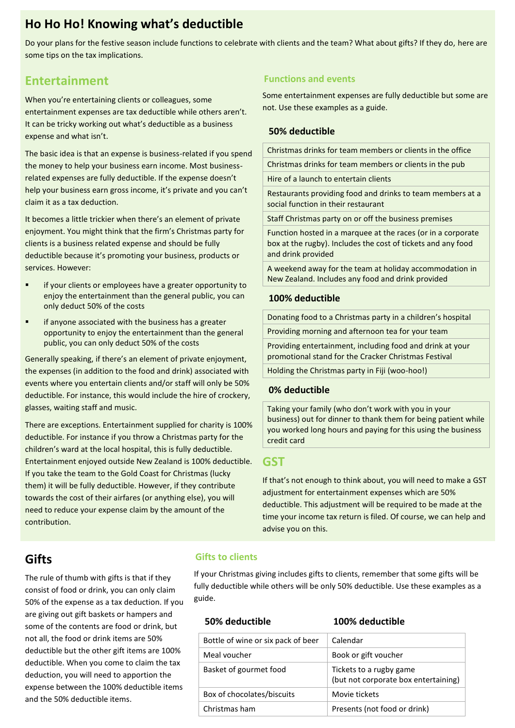# **Ho Ho Ho! Knowing what's deductible**

Do your plans for the festive season include functions to celebrate with clients and the team? What about gifts? If they do, here are some tips on the tax implications.

# **Entertainment**

When you're entertaining clients or colleagues, some entertainment expenses are tax deductible while others aren't. It can be tricky working out what's deductible as a business expense and what isn't.

The basic idea is that an expense is business-related if you spend the money to help your business earn income. Most businessrelated expenses are fully deductible. If the expense doesn't help your business earn gross income, it's private and you can't claim it as a tax deduction.

It becomes a little trickier when there's an element of private enjoyment. You might think that the firm's Christmas party for clients is a business related expense and should be fully deductible because it's promoting your business, products or services. However:

- if your clients or employees have a greater opportunity to enjoy the entertainment than the general public, you can only deduct 50% of the costs
- if anyone associated with the business has a greater opportunity to enjoy the entertainment than the general public, you can only deduct 50% of the costs

Generally speaking, if there's an element of private enjoyment, the expenses (in addition to the food and drink) associated with events where you entertain clients and/or staff will only be 50% deductible. For instance, this would include the hire of crockery, glasses, waiting staff and music.

There are exceptions. Entertainment supplied for charity is 100% deductible. For instance if you throw a Christmas party for the children's ward at the local hospital, this is fully deductible. Entertainment enjoyed outside New Zealand is 100% deductible. If you take the team to the Gold Coast for Christmas (lucky them) it will be fully deductible. However, if they contribute towards the cost of their airfares (or anything else), you will need to reduce your expense claim by the amount of the contribution.

#### **Functions and events**

Some entertainment expenses are fully deductible but some are not. Use these examples as a guide.

#### **50% deductible**

Christmas drinks for team members or clients in the office

Christmas drinks for team members or clients in the pub

Hire of a launch to entertain clients

Restaurants providing food and drinks to team members at a social function in their restaurant

Staff Christmas party on or off the business premises

Function hosted in a marquee at the races (or in a corporate box at the rugby). Includes the cost of tickets and any food and drink provided

A weekend away for the team at holiday accommodation in New Zealand. Includes any food and drink provided

#### **100% deductible**

Donating food to a Christmas party in a children's hospital

Providing morning and afternoon tea for your team

Providing entertainment, including food and drink at your promotional stand for the Cracker Christmas Festival

Holding the Christmas party in Fiji (woo-hoo!)

#### **0% deductible**

Taking your family (who don't work with you in your business) out for dinner to thank them for being patient while you worked long hours and paying for this using the business credit card

#### **GST**

If that's not enough to think about, you will need to make a GST adjustment for entertainment expenses which are 50% deductible. This adjustment will be required to be made at the time your income tax return is filed. Of course, we can help and advise you on this.

# **Gifts**

The rule of thumb with gifts is that if they consist of food or drink, you can only claim 50% of the expense as a tax deduction. If you are giving out gift baskets or hampers and some of the contents are food or drink, but not all, the food or drink items are 50% deductible but the other gift items are 100% deductible. When you come to claim the tax deduction, you will need to apportion the expense between the 100% deductible items and the 50% deductible items.

#### **Gifts to clients**

If your Christmas giving includes gifts to clients, remember that some gifts will be fully deductible while others will be only 50% deductible. Use these examples as a guide.

| Bottle of wine or six pack of beer | Calendar                                                        |
|------------------------------------|-----------------------------------------------------------------|
| Meal voucher                       | Book or gift voucher                                            |
| Basket of gourmet food             | Tickets to a rugby game<br>(but not corporate box entertaining) |
| Box of chocolates/biscuits         | Movie tickets                                                   |
| Christmas ham                      | Presents (not food or drink)                                    |

**50% deductible 100% deductible**